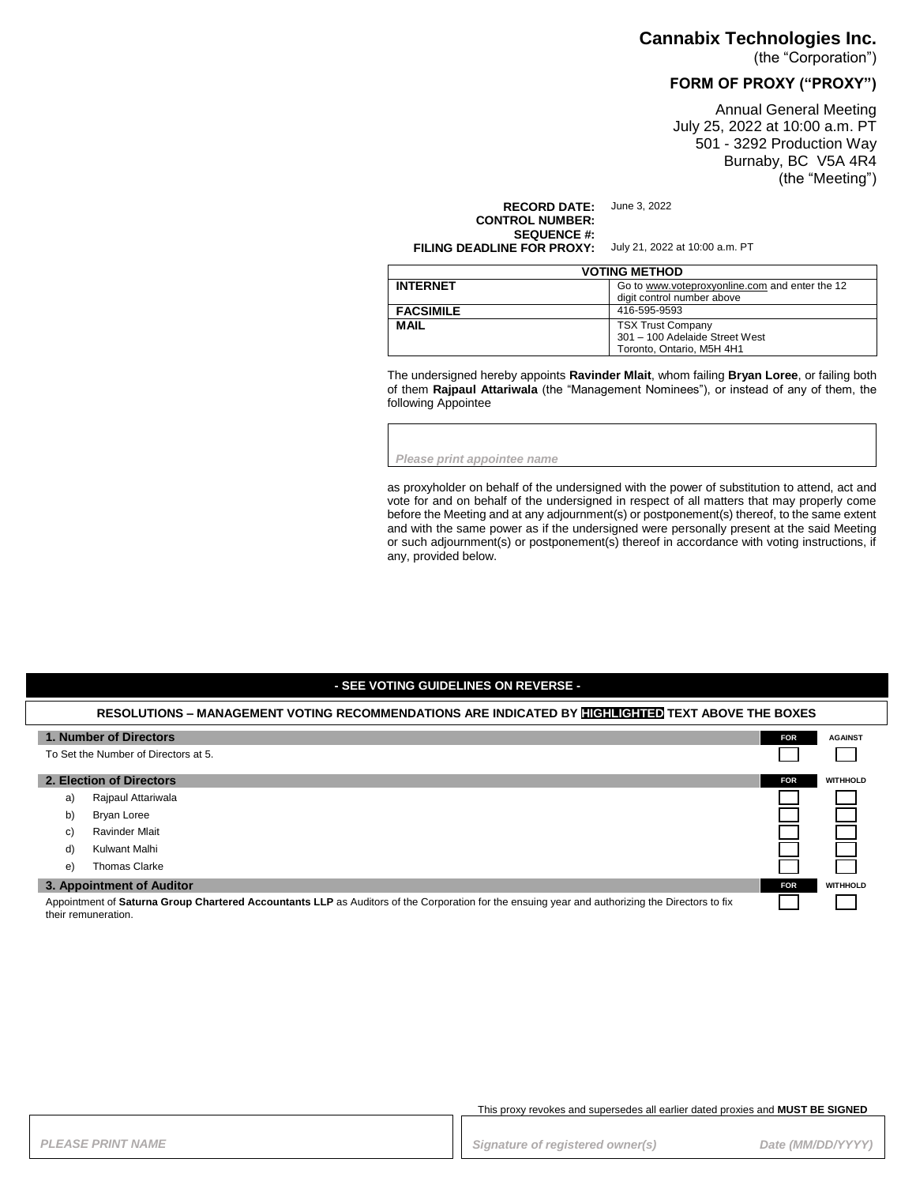### **Cannabix Technologies Inc.**

(the "Corporation")

# **FORM OF PROXY ("PROXY")**

Annual General Meeting July 25, 2022 at 10:00 a.m. PT 501 - 3292 Production Way Burnaby, BC V5A 4R4 (the "Meeting")

**RECORD DATE:** June 3, 2022 **CONTROL NUMBER: SEQUENCE #: FILING DEADLINE FOR PROXY:** July 21, 2022 at 10:00 a.m. PT

| <b>VOTING METHOD</b> |                                                                              |  |
|----------------------|------------------------------------------------------------------------------|--|
| <b>INTERNET</b>      | Go to www.voteproxyonline.com and enter the 12<br>digit control number above |  |
| <b>FACSIMILE</b>     | 416-595-9593                                                                 |  |
|                      |                                                                              |  |
| <b>MAIL</b>          | <b>TSX Trust Company</b>                                                     |  |
|                      | 301 - 100 Adelaide Street West                                               |  |
|                      | Toronto. Ontario. M5H 4H1                                                    |  |

The undersigned hereby appoints **Ravinder Mlait**, whom failing **Bryan Loree**, or failing both of them **Rajpaul Attariwala** (the "Management Nominees"), or instead of any of them, the following Appointee

*Please print appointee name*

as proxyholder on behalf of the undersigned with the power of substitution to attend, act and vote for and on behalf of the undersigned in respect of all matters that may properly come before the Meeting and at any adjournment(s) or postponement(s) thereof, to the same extent and with the same power as if the undersigned were personally present at the said Meeting or such adjournment(s) or postponement(s) thereof in accordance with voting instructions, if any, provided below.

### **- SEE VOTING GUIDELINES ON REVERSE -**

#### **RESOLUTIONS – MANAGEMENT VOTING RECOMMENDATIONS ARE INDICATED BY HIGHLIGHTED TEXT ABOVE THE BOXES**

|                                                                                                                                                                        | 1. Number of Directors   | <b>FOR</b> | <b>AGAINST</b>  |
|------------------------------------------------------------------------------------------------------------------------------------------------------------------------|--------------------------|------------|-----------------|
| To Set the Number of Directors at 5.                                                                                                                                   |                          |            |                 |
|                                                                                                                                                                        | 2. Election of Directors | <b>FOR</b> | <b>WITHHOLD</b> |
| a)                                                                                                                                                                     | Rajpaul Attariwala       |            |                 |
| b)                                                                                                                                                                     | Bryan Loree              |            |                 |
| C)                                                                                                                                                                     | Ravinder Mlait           |            |                 |
| d)                                                                                                                                                                     | Kulwant Malhi            |            |                 |
| e)                                                                                                                                                                     | <b>Thomas Clarke</b>     |            |                 |
| 3. Appointment of Auditor                                                                                                                                              |                          | <b>FOR</b> | <b>WITHHOLD</b> |
| Appointment of Saturna Group Chartered Accountants LLP as Auditors of the Corporation for the ensuing year and authorizing the Directors to fix<br>their remuneration. |                          |            |                 |

This proxy revokes and supersedes all earlier dated proxies and **MUST BE SIGNED**